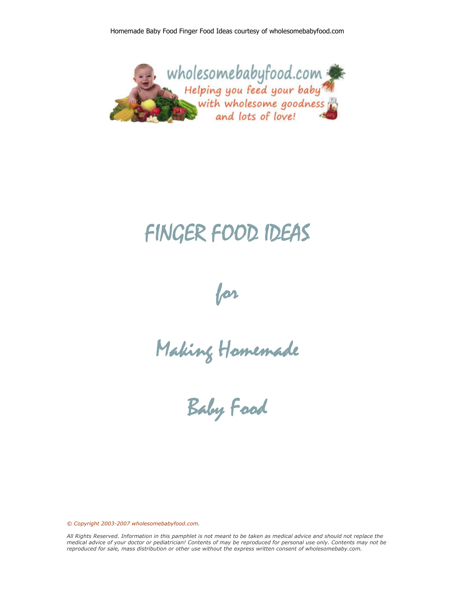

# FINGER FOOD IDEAS

for

Making Homemade

Baby Food

*© Copyright 2003-2007 wholesomebabyfood.com.*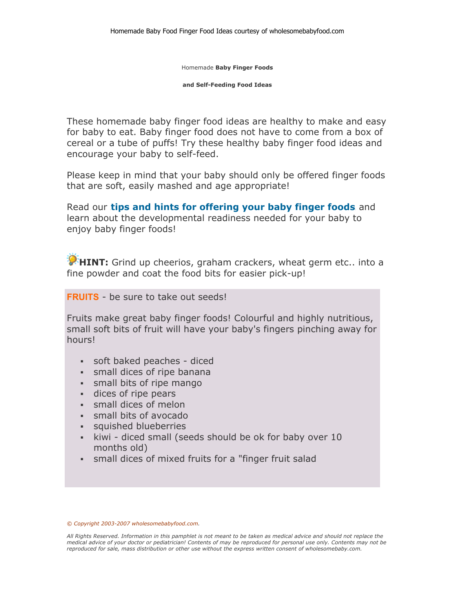Homemade **Baby Finger Foods** 

**and Self-Feeding Food Ideas**

These homemade baby finger food ideas are healthy to make and easy for baby to eat. Baby finger food does not have to come from a box of cereal or a tube of puffs! Try these healthy baby finger food ideas and encourage your baby to self-feed.

Please keep in mind that your baby should only be offered finger foods that are soft, easily mashed and age appropriate!

Read our **tips and hints for offering your baby finger foods** and learn about the developmental readiness needed for your baby to enjoy baby finger foods!

**HINT:** Grind up cheerios, graham crackers, wheat germ etc.. into a fine powder and coat the food bits for easier pick-up!

#### **FRUITS** - be sure to take out seeds!

Fruits make great baby finger foods! Colourful and highly nutritious, small soft bits of fruit will have your baby's fingers pinching away for hours!

- soft baked peaches diced
- small dices of ripe banana
- small bits of ripe mango
- dices of ripe pears
- small dices of melon
- small bits of avocado
- squished blueberries
- kiwi diced small (seeds should be ok for baby over 10 months old)
- small dices of mixed fruits for a "finger fruit salad

#### *© Copyright 2003-2007 wholesomebabyfood.com.*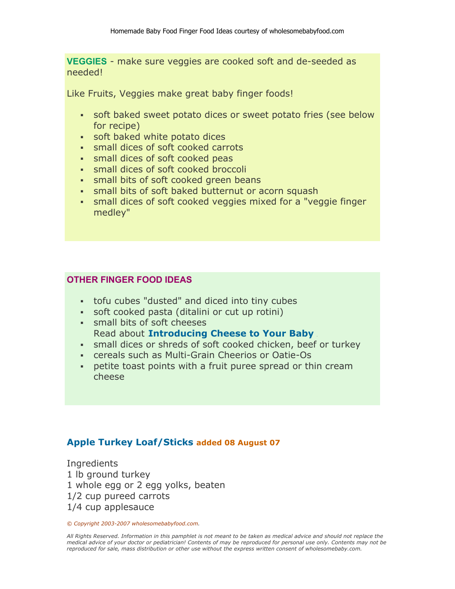**VEGGIES** - make sure veggies are cooked soft and de-seeded as needed!

Like Fruits, Veggies make great baby finger foods!

- soft baked sweet potato dices or sweet potato fries (see below for recipe)
- soft baked white potato dices
- small dices of soft cooked carrots
- **show Small dices of soft cooked peas**
- small dices of soft cooked broccoli
- **small bits of soft cooked green beans**
- small bits of soft baked butternut or acorn squash
- small dices of soft cooked veggies mixed for a "veggie finger medley"

# **OTHER FINGER FOOD IDEAS**

- tofu cubes "dusted" and diced into tiny cubes
- soft cooked pasta (ditalini or cut up rotini)
- small bits of soft cheeses **Read about Introducing Cheese to Your Baby**
- small dices or shreds of soft cooked chicken, beef or turkey
- cereals such as Multi-Grain Cheerios or Oatie-Os
- petite toast points with a fruit puree spread or thin cream cheese

# **Apple Turkey Loaf/Sticks added 08 August 07**

Ingredients 1 lb ground turkey 1 whole egg or 2 egg yolks, beaten 1/2 cup pureed carrots 1/4 cup applesauce

*© Copyright 2003-2007 wholesomebabyfood.com.*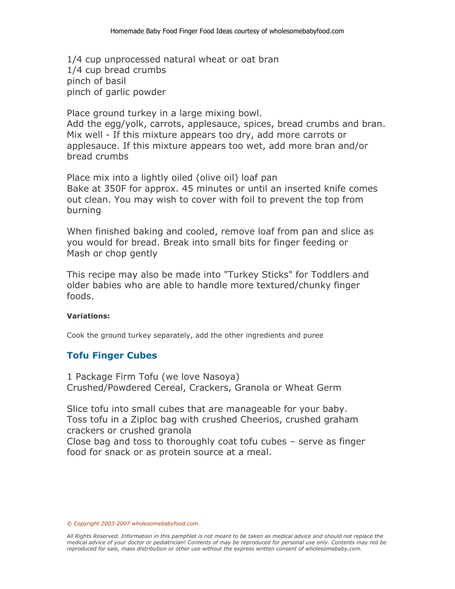1/4 cup unprocessed natural wheat or oat bran 1/4 cup bread crumbs pinch of basil pinch of garlic powder

Place ground turkey in a large mixing bowl. Add the egg/yolk, carrots, applesauce, spices, bread crumbs and bran. Mix well - If this mixture appears too dry, add more carrots or

applesauce. If this mixture appears too wet, add more bran and/or bread crumbs

Place mix into a lightly oiled (olive oil) loaf pan Bake at 350F for approx. 45 minutes or until an inserted knife comes out clean. You may wish to cover with foil to prevent the top from burning

When finished baking and cooled, remove loaf from pan and slice as you would for bread. Break into small bits for finger feeding or Mash or chop gently

This recipe may also be made into "Turkey Sticks" for Toddlers and older babies who are able to handle more textured/chunky finger foods.

## **Variations:**

Cook the ground turkey separately, add the other ingredients and puree

# **Tofu Finger Cubes**

1 Package Firm Tofu (we love Nasoya) Crushed/Powdered Cereal, Crackers, Granola or Wheat Germ

Slice tofu into small cubes that are manageable for your baby. Toss tofu in a Ziploc bag with crushed Cheerios, crushed graham crackers or crushed granola

Close bag and toss to thoroughly coat tofu cubes – serve as finger food for snack or as protein source at a meal.

*© Copyright 2003-2007 wholesomebabyfood.com.*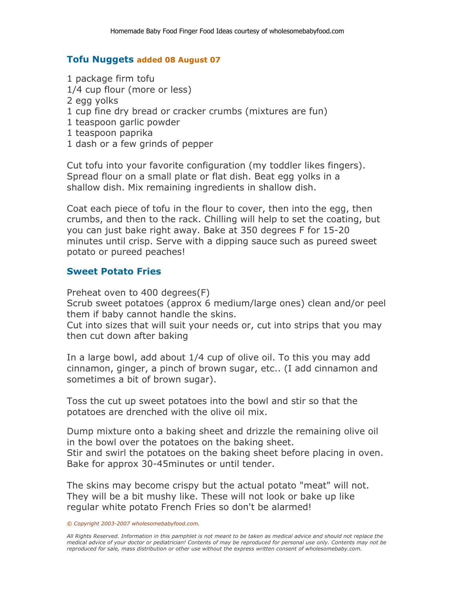# **Tofu Nuggets added 08 August 07**

- 1 package firm tofu
- 1/4 cup flour (more or less)
- 2 egg yolks
- 1 cup fine dry bread or cracker crumbs (mixtures are fun)
- 1 teaspoon garlic powder
- 1 teaspoon paprika
- 1 dash or a few grinds of pepper

Cut tofu into your favorite configuration (my toddler likes fingers). Spread flour on a small plate or flat dish. Beat egg yolks in a shallow dish. Mix remaining ingredients in shallow dish.

Coat each piece of tofu in the flour to cover, then into the egg, then crumbs, and then to the rack. Chilling will help to set the coating, but you can just bake right away. Bake at 350 degrees F for 15-20 minutes until crisp. Serve with a dipping sauce such as pureed sweet potato or pureed peaches!

# **Sweet Potato Fries**

Preheat oven to 400 degrees(F)

Scrub sweet potatoes (approx 6 medium/large ones) clean and/or peel them if baby cannot handle the skins.

Cut into sizes that will suit your needs or, cut into strips that you may then cut down after baking

In a large bowl, add about 1/4 cup of olive oil. To this you may add cinnamon, ginger, a pinch of brown sugar, etc.. (I add cinnamon and sometimes a bit of brown sugar).

Toss the cut up sweet potatoes into the bowl and stir so that the potatoes are drenched with the olive oil mix.

Dump mixture onto a baking sheet and drizzle the remaining olive oil in the bowl over the potatoes on the baking sheet. Stir and swirl the potatoes on the baking sheet before placing in oven. Bake for approx 30-45minutes or until tender.

The skins may become crispy but the actual potato "meat" will not. They will be a bit mushy like. These will not look or bake up like regular white potato French Fries so don't be alarmed!

*<sup>©</sup> Copyright 2003-2007 wholesomebabyfood.com.*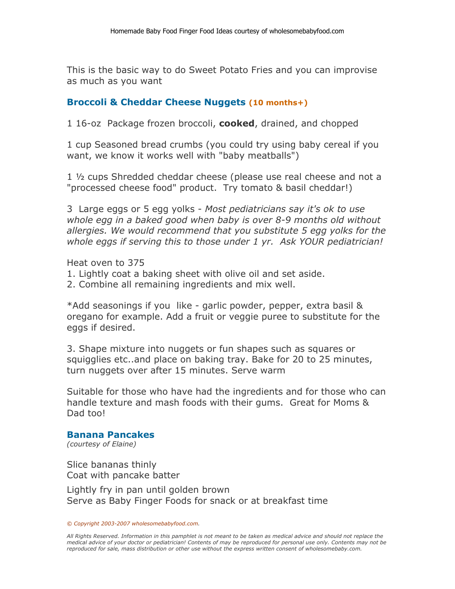This is the basic way to do Sweet Potato Fries and you can improvise as much as you want

# **Broccoli & Cheddar Cheese Nuggets (10 months+)**

1 16-oz Package frozen broccoli, **cooked**, drained, and chopped

1 cup Seasoned bread crumbs (you could try using baby cereal if you want, we know it works well with "baby meatballs")

1 ½ cups Shredded cheddar cheese (please use real cheese and not a "processed cheese food" product. Try tomato & basil cheddar!)

3 Large eggs or 5 egg yolks - *Most pediatricians say it's ok to use whole egg in a baked good when baby is over 8-9 months old without allergies. We would recommend that you substitute 5 egg yolks for the whole eggs if serving this to those under 1 yr. Ask YOUR pediatrician!*

Heat oven to 375

- 1. Lightly coat a baking sheet with olive oil and set aside.
- 2. Combine all remaining ingredients and mix well.

\*Add seasonings if you like - garlic powder, pepper, extra basil & oregano for example. Add a fruit or veggie puree to substitute for the eggs if desired.

3. Shape mixture into nuggets or fun shapes such as squares or squigglies etc..and place on baking tray. Bake for 20 to 25 minutes, turn nuggets over after 15 minutes. Serve warm

Suitable for those who have had the ingredients and for those who can handle texture and mash foods with their gums. Great for Moms & Dad too!

## **Banana Pancakes**

*(courtesy of Elaine)*

Slice bananas thinly Coat with pancake batter

Lightly fry in pan until golden brown Serve as Baby Finger Foods for snack or at breakfast time

#### *© Copyright 2003-2007 wholesomebabyfood.com.*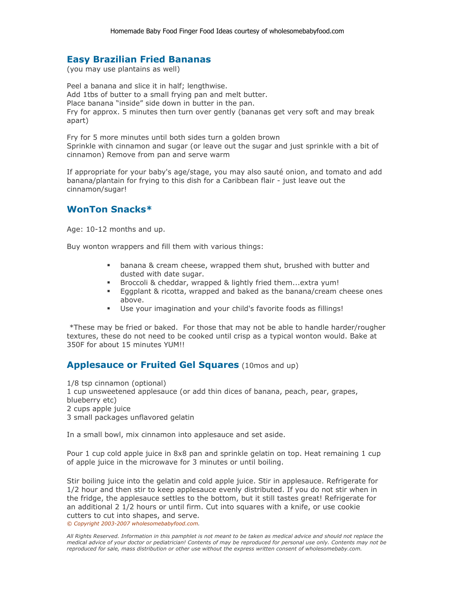#### **Easy Brazilian Fried Bananas**

(you may use plantains as well)

Peel a banana and slice it in half; lengthwise. Add 1tbs of butter to a small frying pan and melt butter. Place banana "inside" side down in butter in the pan. Fry for approx. 5 minutes then turn over gently (bananas get very soft and may break apart)

Fry for 5 more minutes until both sides turn a golden brown Sprinkle with cinnamon and sugar (or leave out the sugar and just sprinkle with a bit of cinnamon) Remove from pan and serve warm

If appropriate for your baby's age/stage, you may also sauté onion, and tomato and add banana/plantain for frying to this dish for a Caribbean flair - just leave out the cinnamon/sugar!

#### **WonTon Snacks\***

Age: 10-12 months and up.

Buy wonton wrappers and fill them with various things:

- **•** banana & cream cheese, wrapped them shut, brushed with butter and dusted with date sugar.
- Broccoli & cheddar, wrapped & lightly fried them...extra yum!
- Eggplant & ricotta, wrapped and baked as the banana/cream cheese ones above.
- Use your imagination and your child's favorite foods as fillings!

 \*These may be fried or baked. For those that may not be able to handle harder/rougher textures, these do not need to be cooked until crisp as a typical wonton would. Bake at 350F for about 15 minutes YUM!!

## **Applesauce or Fruited Gel Squares** (10mos and up)

1/8 tsp cinnamon (optional) 1 cup unsweetened applesauce (or add thin dices of banana, peach, pear, grapes, blueberry etc) 2 cups apple juice 3 small packages unflavored gelatin

In a small bowl, mix cinnamon into applesauce and set aside.

Pour 1 cup cold apple juice in 8x8 pan and sprinkle gelatin on top. Heat remaining 1 cup of apple juice in the microwave for 3 minutes or until boiling.

Stir boiling juice into the gelatin and cold apple juice. Stir in applesauce. Refrigerate for 1/2 hour and then stir to keep applesauce evenly distributed. If you do not stir when in the fridge, the applesauce settles to the bottom, but it still tastes great! Refrigerate for an additional 2 1/2 hours or until firm. Cut into squares with a knife, or use cookie cutters to cut into shapes, and serve. *© Copyright 2003-2007 wholesomebabyfood.com.*